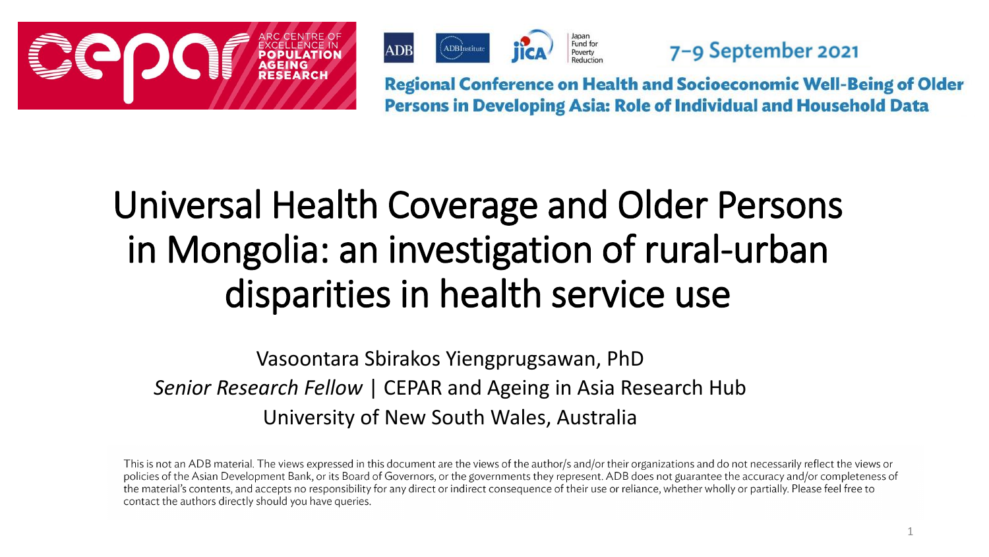



7-9 September 2021

**Regional Conference on Health and Socioeconomic Well-Being of Older** Persons in Developing Asia: Role of Individual and Household Data

# Universal Health Coverage and Older Persons in Mongolia: an investigation of rural-urban disparities in health service use

Vasoontara Sbirakos Yiengprugsawan, PhD *Senior Research Fellow* | CEPAR and Ageing in Asia Research Hub University of New South Wales, Australia

This is not an ADB material. The views expressed in this document are the views of the author/s and/or their organizations and do not necessarily reflect the views or policies of the Asian Development Bank, or its Board of Governors, or the governments they represent. ADB does not guarantee the accuracy and/or completeness of the material's contents, and accepts no responsibility for any direct or indirect consequence of their use or reliance, whether wholly or partially. Please feel free to contact the authors directly should you have queries.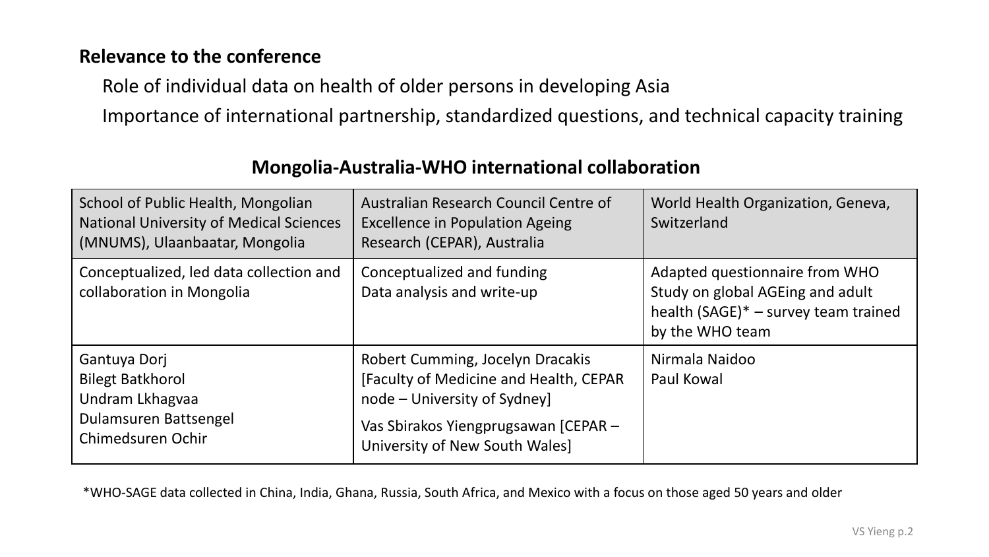### **Relevance to the conference**

Role of individual data on health of older persons in developing Asia

Importance of international partnership, standardized questions, and technical capacity training

| School of Public Health, Mongolian<br><b>National University of Medical Sciences</b><br>(MNUMS), Ulaanbaatar, Mongolia | Australian Research Council Centre of<br><b>Excellence in Population Ageing</b><br>Research (CEPAR), Australia                                                                       | World Health Organization, Geneva,<br>Switzerland                                                                             |
|------------------------------------------------------------------------------------------------------------------------|--------------------------------------------------------------------------------------------------------------------------------------------------------------------------------------|-------------------------------------------------------------------------------------------------------------------------------|
| Conceptualized, led data collection and<br>collaboration in Mongolia                                                   | Conceptualized and funding<br>Data analysis and write-up                                                                                                                             | Adapted questionnaire from WHO<br>Study on global AGEing and adult<br>health (SAGE)* - survey team trained<br>by the WHO team |
| Gantuya Dorj<br><b>Bilegt Batkhorol</b><br>Undram Lkhagvaa<br>Dulamsuren Battsengel<br>Chimedsuren Ochir               | Robert Cumming, Jocelyn Dracakis<br>[Faculty of Medicine and Health, CEPAR<br>node – University of Sydney]<br>Vas Sbirakos Yiengprugsawan [CEPAR -<br>University of New South Wales] | Nirmala Naidoo<br>Paul Kowal                                                                                                  |

### **Mongolia-Australia-WHO international collaboration**

\*WHO-SAGE data collected in China, India, Ghana, Russia, South Africa, and Mexico with a focus on those aged 50 years and older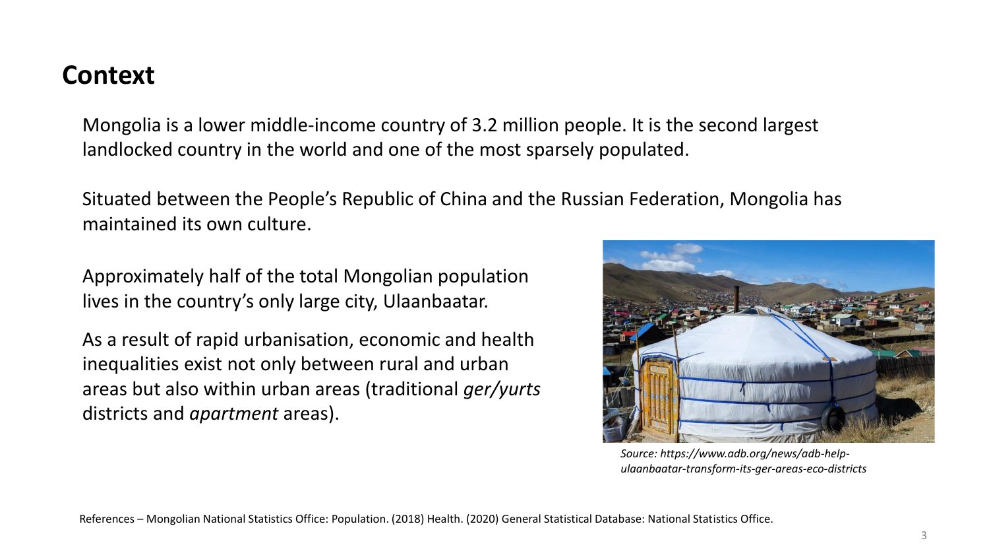### **Context**

Mongolia is a lower middle-income country of 3.2 million people. It is the second largest landlocked country in the world and one of the most sparsely populated.

Situated between the People's Republic of China and the Russian Federation, Mongolia has maintained its own culture.

Approximately half of the total Mongolian population lives in the country's only large city, Ulaanbaatar.

As a result of rapid urbanisation, economic and health inequalities exist not only between rural and urban areas but also within urban areas (traditional *ger/yurts*  districts and *apartment* areas).



*Source: https://www.adb.org/news/adb-helpulaanbaatar-transform-its-ger-areas-eco-districts*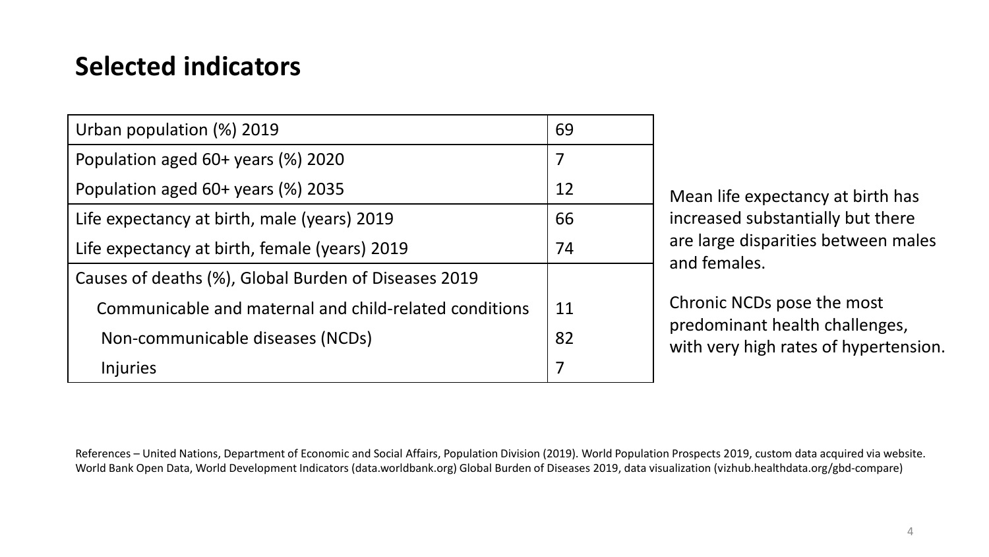# **Selected indicators**

| Urban population (%) 2019                              | 69 |
|--------------------------------------------------------|----|
| Population aged 60+ years (%) 2020                     | 7  |
| Population aged 60+ years (%) 2035                     | 12 |
| Life expectancy at birth, male (years) 2019            | 66 |
| Life expectancy at birth, female (years) 2019          | 74 |
| Causes of deaths (%), Global Burden of Diseases 2019   |    |
| Communicable and maternal and child-related conditions | 11 |
| Non-communicable diseases (NCDs)                       | 82 |
| <b>Injuries</b>                                        | 7  |

Mean life expectancy at birth has increased substantially but there are large disparities between males and females.

Chronic NCDs pose the most predominant health challenges, with very high rates of hypertension.

References – United Nations, Department of Economic and Social Affairs, Population Division (2019). World Population Prospects 2019, custom data acquired via website. World Bank Open Data, World Development Indicators (data.worldbank.org) Global Burden of Diseases 2019, data visualization (vizhub.healthdata.org/gbd‐compare)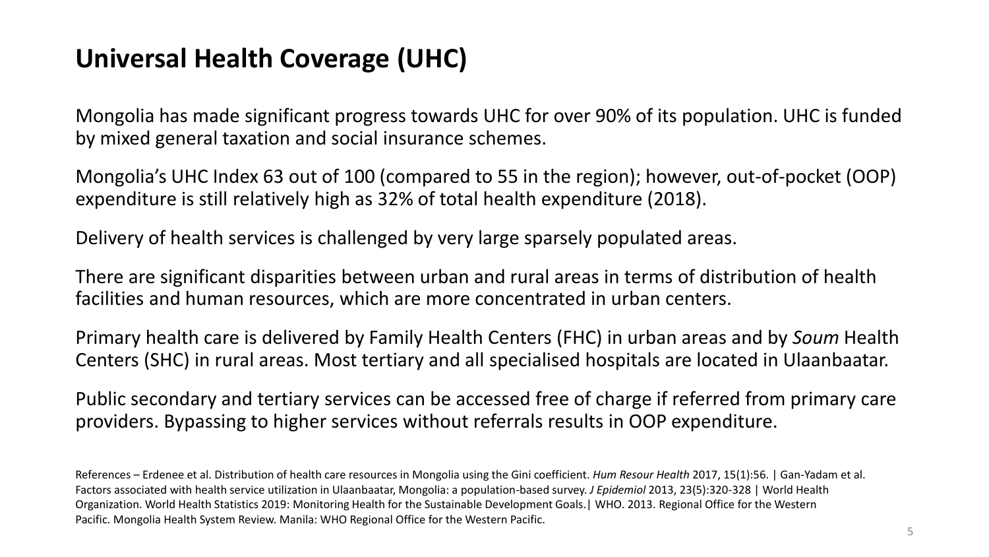### **Universal Health Coverage (UHC)**

Mongolia has made significant progress towards UHC for over 90% of its population. UHC is funded by mixed general taxation and social insurance schemes.

Mongolia's UHC Index 63 out of 100 (compared to 55 in the region); however, out-of-pocket (OOP) expenditure is still relatively high as 32% of total health expenditure (2018).

Delivery of health services is challenged by very large sparsely populated areas.

There are significant disparities between urban and rural areas in terms of distribution of health facilities and human resources, which are more concentrated in urban centers.

Primary health care is delivered by Family Health Centers (FHC) in urban areas and by *Soum* Health Centers (SHC) in rural areas. Most tertiary and all specialised hospitals are located in Ulaanbaatar.

Public secondary and tertiary services can be accessed free of charge if referred from primary care providers. Bypassing to higher services without referrals results in OOP expenditure.

References – Erdenee et al. Distribution of health care resources in Mongolia using the Gini coefficient. *Hum Resour Health* 2017, 15(1):56. | Gan-Yadam et al. Factors associated with health service utilization in Ulaanbaatar, Mongolia: a population-based survey. *J Epidemiol* 2013, 23(5):320-328 | World Health Organization. World Health Statistics 2019: Monitoring Health for the Sustainable Development Goals.| WHO. 2013. Regional Office for the Western Pacific. Mongolia Health System Review. Manila: WHO Regional Office for the Western Pacific.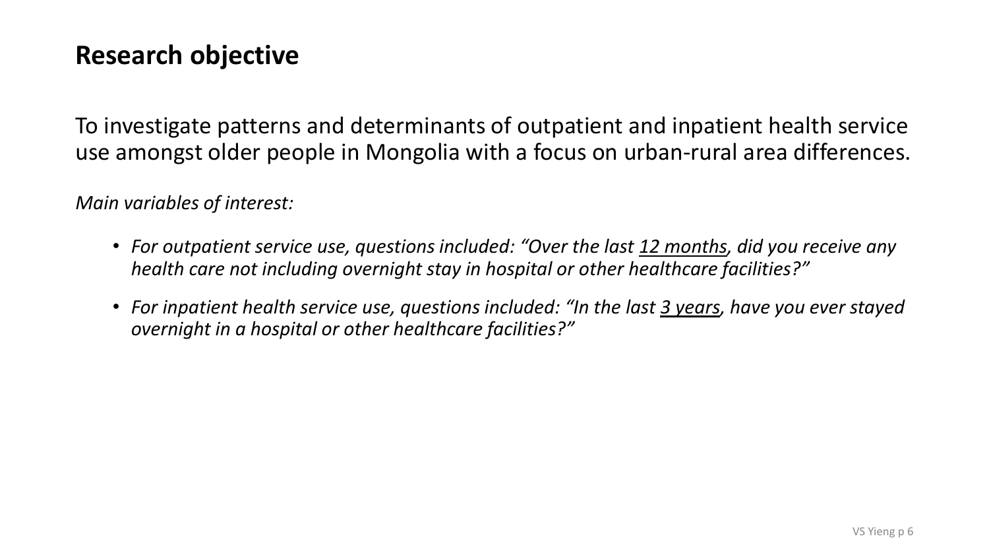### **Research objective**

To investigate patterns and determinants of outpatient and inpatient health service use amongst older people in Mongolia with a focus on urban-rural area differences.

*Main variables of interest:*

- *For outpatient service use, questions included: "Over the last 12 months, did you receive any health care not including overnight stay in hospital or other healthcare facilities?"*
- For inpatient health service use, questions included: "In the last 3 years, have you ever stayed *overnight in a hospital or other healthcare facilities?"*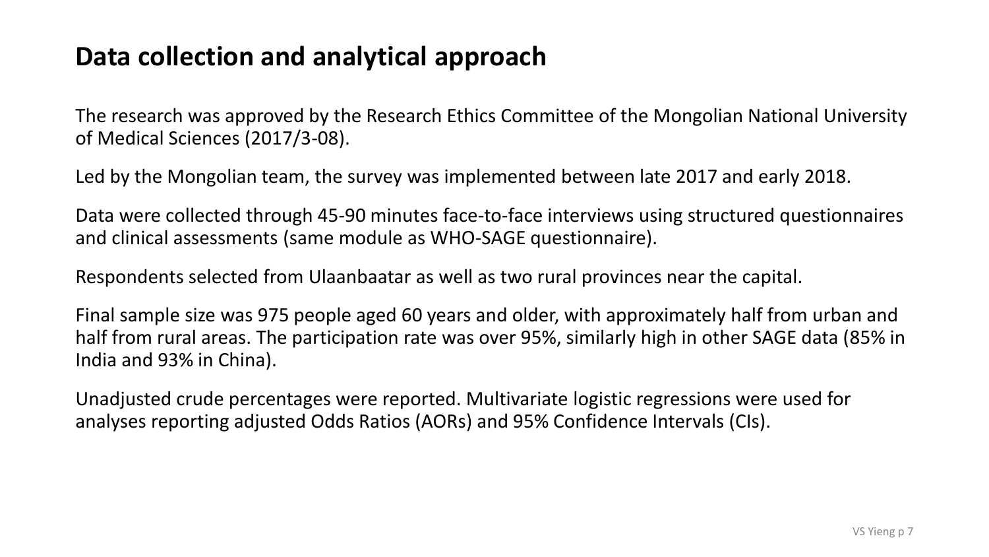### **Data collection and analytical approach**

The research was approved by the Research Ethics Committee of the Mongolian National University of Medical Sciences (2017/3-08).

Led by the Mongolian team, the survey was implemented between late 2017 and early 2018.

Data were collected through 45-90 minutes face-to-face interviews using structured questionnaires and clinical assessments (same module as WHO-SAGE questionnaire).

Respondents selected from Ulaanbaatar as well as two rural provinces near the capital.

Final sample size was 975 people aged 60 years and older, with approximately half from urban and half from rural areas. The participation rate was over 95%, similarly high in other SAGE data (85% in India and 93% in China).

Unadjusted crude percentages were reported. Multivariate logistic regressions were used for analyses reporting adjusted Odds Ratios (AORs) and 95% Confidence Intervals (CIs).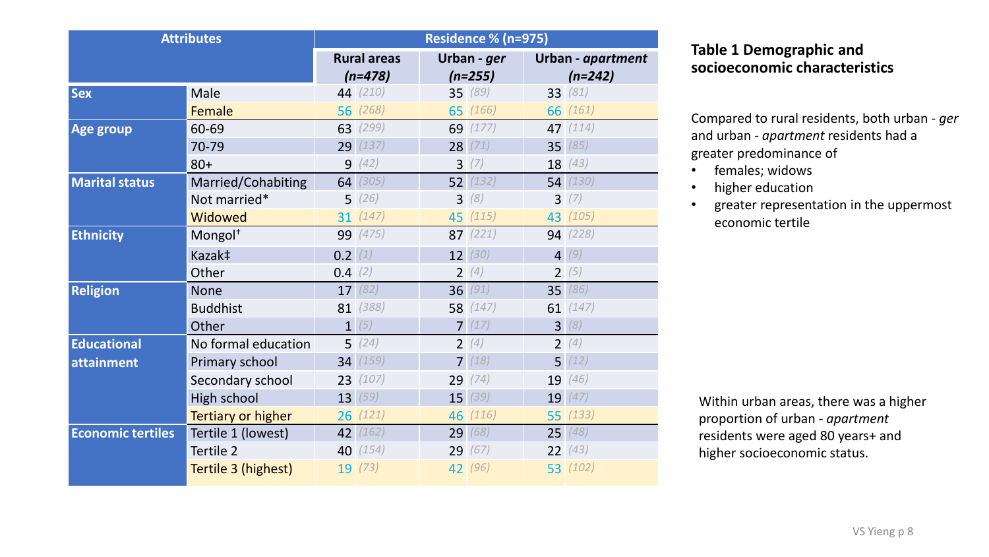| <b>Attributes</b>        |                     | Residence % (n=975) |                    |                |             |                |                   |
|--------------------------|---------------------|---------------------|--------------------|----------------|-------------|----------------|-------------------|
|                          |                     |                     | <b>Rural areas</b> |                | Urban - ger |                | Urban - apartment |
|                          |                     |                     | $(n=478)$          |                | $(n=255)$   |                | $(n=242)$         |
| <b>Sex</b>               | Male                |                     | 44 (210)           |                | 35 (89)     |                | 33 (81)           |
|                          | Female              |                     | 56(268)            |                | 65 (166)    |                | 66 (161)          |
| <b>Age group</b>         | 60-69               |                     | 63 (299)           |                | 69 (177)    |                | 47 (114)          |
|                          | 70-79               |                     | 29 (137)           |                | 28(71)      |                | 35(85)            |
|                          | $80+$               | 9                   | (42)               | $\overline{3}$ | (7)         |                | 18(43)            |
| <b>Marital status</b>    | Married/Cohabiting  |                     | 64(305)            |                | 52(132)     |                | 54(130)           |
|                          | Not married*        |                     | 5(26)              |                | 3(8)        |                | 3(7)              |
|                          | Widowed             |                     | 31(147)            |                | 45 (115)    |                | 43 (105)          |
| <b>Ethnicity</b>         | Mongol <sup>+</sup> |                     | 99 (475)           |                | 87(221)     |                | 94 (228)          |
|                          | Kazak‡              | 0.2(1)              |                    |                | 12(30)      | $\overline{4}$ | (9)               |
|                          | Other               | 0.4(2)              |                    | $\overline{2}$ | (4)         |                | 2(5)              |
| <b>Religion</b>          | <b>None</b>         |                     | 17(82)             |                | 36(91)      |                | 35 (86)           |
|                          | <b>Buddhist</b>     |                     | 81 (388)           |                | 58 (147)    |                | 61 $(147)$        |
|                          | Other               |                     | 1(5)               |                | 7(17)       |                | 3(8)              |
| <b>Educational</b>       | No formal education |                     | 5(24)              |                | 2(4)        |                | 2(4)              |
| attainment               | Primary school      |                     | 34(159)            | $\overline{7}$ | (18)        |                | 5(12)             |
|                          | Secondary school    |                     | 23(107)            |                | 29(74)      |                | 19 (46)           |
|                          | High school         | 13                  | (59)               |                | 15(39)      | 19             | (47)              |
|                          | Tertiary or higher  |                     | 26(121)            |                | 46 (116)    |                | 55(133)           |
| <b>Economic tertiles</b> | Tertile 1 (lowest)  | 42                  | (162)              | 29             | (68)        |                | 25(48)            |
|                          | Tertile 2           |                     | 40 (154)           |                | 29(67)      |                | 22(43)            |
|                          | Tertile 3 (highest) |                     | 19(73)             |                | 42 (96)     |                | 53 (102)          |

#### **Table 1 Demographic and socioeconomic characteristics**

Compared to rural residents, both urban - *ger*  and urban - *apartment* residents had a greater predominance of

- females; widows
- higher education
- greater representation in the uppermost economic tertile

Within urban areas, there was a higher proportion of urban - *apartment* residents were aged 80 years+ and higher socioeconomic status.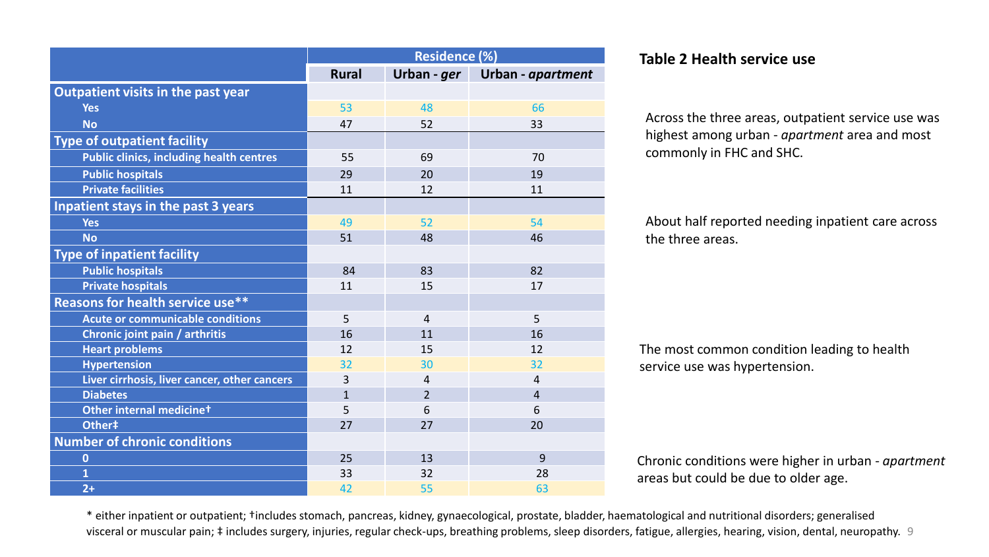|                                                 | <b>Residence (%)</b> |                |                   |  |
|-------------------------------------------------|----------------------|----------------|-------------------|--|
|                                                 | <b>Rural</b>         | Urban - ger    | Urban - apartment |  |
| Outpatient visits in the past year              |                      |                |                   |  |
| <b>Yes</b>                                      | 53                   | 48             | 66                |  |
| <b>No</b>                                       | 47                   | 52             | 33                |  |
| <b>Type of outpatient facility</b>              |                      |                |                   |  |
| <b>Public clinics, including health centres</b> | 55                   | 69             | 70                |  |
| <b>Public hospitals</b>                         | 29                   | 20             | 19                |  |
| <b>Private facilities</b>                       | 11                   | 12             | 11                |  |
| Inpatient stays in the past 3 years             |                      |                |                   |  |
| <b>Yes</b>                                      | 49                   | 52             | 54                |  |
| <b>No</b>                                       | 51                   | 48             | 46                |  |
| <b>Type of inpatient facility</b>               |                      |                |                   |  |
| <b>Public hospitals</b>                         | 84                   | 83             | 82                |  |
| <b>Private hospitals</b>                        | 11                   | 15             | 17                |  |
| <b>Reasons for health service use**</b>         |                      |                |                   |  |
| Acute or communicable conditions                | 5                    | $\overline{4}$ | 5                 |  |
| Chronic joint pain / arthritis                  | 16                   | 11             | 16                |  |
| <b>Heart problems</b>                           | 12                   | 15             | 12                |  |
| <b>Hypertension</b>                             | 32                   | 30             | 32                |  |
| Liver cirrhosis, liver cancer, other cancers    | 3                    | $\overline{4}$ | 4                 |  |
| <b>Diabetes</b>                                 | $\mathbf{1}$         | $\overline{2}$ | $\overline{4}$    |  |
| Other internal medicinet                        | 5                    | 6              | 6                 |  |
| Other‡                                          | 27                   | 27             | 20                |  |
| <b>Number of chronic conditions</b>             |                      |                |                   |  |
| $\bf{0}$                                        | 25                   | 13             | 9                 |  |
| $\overline{\mathbf{1}}$                         | 33                   | 32             | 28                |  |
| $2+$                                            | 42                   | 55             | 63                |  |

#### **Residence (%) Table 2 Health service use**

Across the three areas, outpatient service use was highest among urban - *apartment* area and most commonly in FHC and SHC.

About half reported needing inpatient care across the three areas.

The most common condition leading to health service use was hypertension.

Chronic conditions were higher in urban - *apartment* areas but could be due to older age.

visceral or muscular pain; ‡ includes surgery, injuries, regular check-ups, breathing problems, sleep disorders, fatigue, allergies, hearing, vision, dental, neuropathy. 9 \* either inpatient or outpatient; †includes stomach, pancreas, kidney, gynaecological, prostate, bladder, haematological and nutritional disorders; generalised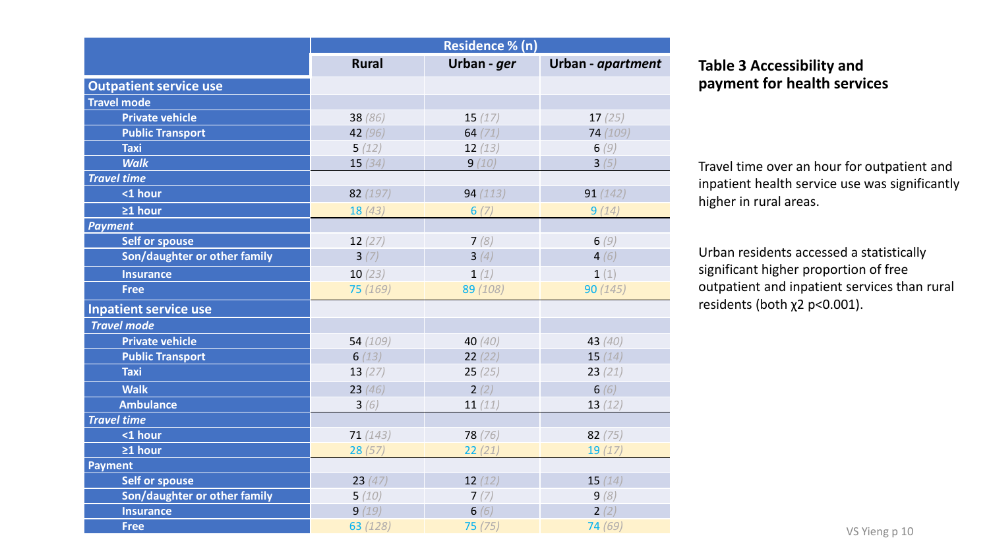|                               | Residence % (n) |             |                   |                                       |
|-------------------------------|-----------------|-------------|-------------------|---------------------------------------|
|                               | <b>Rural</b>    | Urban - ger | Urban - apartment | <b>Table 3 Accessibility and</b>      |
| <b>Outpatient service use</b> |                 |             |                   | payment for health services           |
| <b>Travel mode</b>            |                 |             |                   |                                       |
| <b>Private vehicle</b>        | 38(86)          | 15(17)      | 17(25)            |                                       |
| <b>Public Transport</b>       | 42 $(96)$       | 64 $(71)$   | 74 (109)          |                                       |
| <b>Taxi</b>                   | 5(12)           | 12(13)      | 6(9)              |                                       |
| <b>Walk</b>                   | 15(34)          | 9(10)       | 3(5)              | Travel time over an hour for outpatie |
| <b>Travel time</b>            |                 |             |                   | inpatient health service use was sign |
| <1 hour                       | 82(197)         | 94(113)     | 91(142)           | higher in rural areas.                |
| $\geq 1$ hour                 | 18(43)          | 6(7)        | 9(14)             |                                       |
| <b>Payment</b>                |                 |             |                   |                                       |
| <b>Self or spouse</b>         | 12(27)          | 7(8)        | 6(9)              |                                       |
| Son/daughter or other family  | 3(7)            | 3(4)        | 4(6)              | Urban residents accessed a statistica |
| <b>Insurance</b>              | 10(23)          | 1(1)        | 1(1)              | significant higher proportion of free |
| <b>Free</b>                   | 75 (169)        | 89 (108)    | 90(145)           | outpatient and inpatient services tha |
| <b>Inpatient service use</b>  |                 |             |                   | residents (both $x^2$ p<0.001).       |
| <b>Travel mode</b>            |                 |             |                   |                                       |
| <b>Private vehicle</b>        | 54(109)         | 40 $(40)$   | 43 $(40)$         |                                       |
| <b>Public Transport</b>       | 6(13)           | 22(22)      | 15(14)            |                                       |
| <b>Taxi</b>                   | 13(27)          | 25(25)      | 23(21)            |                                       |
| <b>Walk</b>                   | 23(46)          | 2(2)        | 6 $(6)$           |                                       |
| <b>Ambulance</b>              | 3(6)            | 11 $(11)$   | 13(12)            |                                       |
| <b>Travel time</b>            |                 |             |                   |                                       |
| <1 hour                       | 71(143)         | 78(76)      | 82 $(75)$         |                                       |
| $\geq 1$ hour                 | 28(57)          | 22(21)      | 19(17)            |                                       |
| Payment                       |                 |             |                   |                                       |
| <b>Self or spouse</b>         | 23(47)          | 12(12)      | 15(14)            |                                       |
| Son/daughter or other family  | 5(10)           | 7(7)        | 9(8)              |                                       |
| <b>Insurance</b>              | 9(19)           | 6(6)        | 2(2)              |                                       |
| <b>Free</b>                   | 63 (128)        | 75(75)      | 74(69)            | VS Yieng p 10                         |

#### **Table 3 Accessibility and payment for health services**

Travel time over an hour for outpatient and inpatient health service use was significantly higher in rural areas.

Urban residents accessed a statistically significant higher proportion of free outpatient and inpatient services than rural residents (both  $χ2$  p<0.001).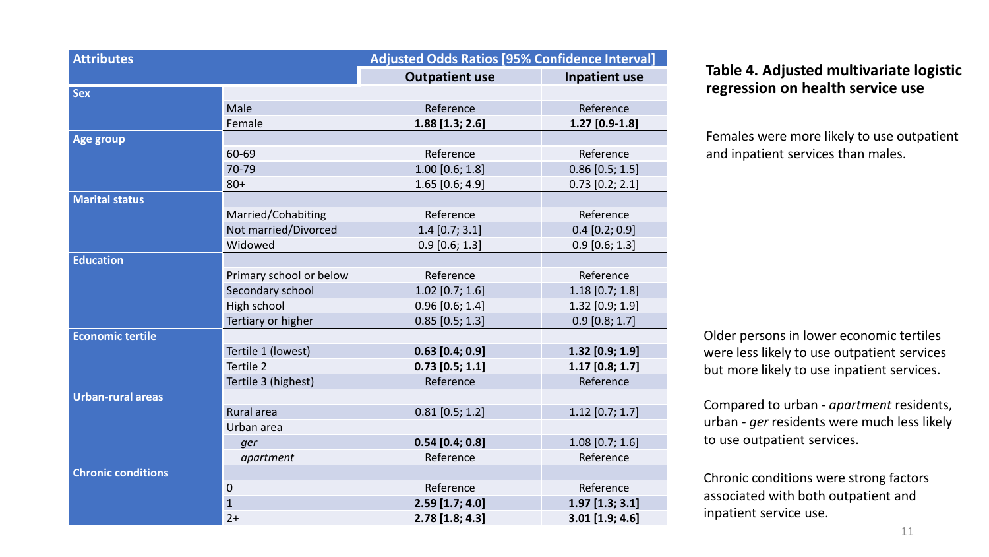| <b>Attributes</b>         |                         | <b>Adjusted Odds Ratios [95% Confidence Interval]</b> |                      |  |  |
|---------------------------|-------------------------|-------------------------------------------------------|----------------------|--|--|
|                           |                         | <b>Outpatient use</b>                                 | <b>Inpatient use</b> |  |  |
| <b>Sex</b>                |                         |                                                       |                      |  |  |
|                           | Male                    | Reference                                             | Reference            |  |  |
|                           | Female                  | $1.88$ [1.3; 2.6]                                     | $1.27$ [0.9-1.8]     |  |  |
| Age group                 |                         |                                                       |                      |  |  |
|                           | 60-69                   | Reference                                             | Reference            |  |  |
|                           | 70-79                   | $1.00$ [0.6; 1.8]                                     | $0.86$ [0.5; 1.5]    |  |  |
|                           | $80+$                   | $1.65$ [0.6; 4.9]                                     | $0.73$ [0.2; 2.1]    |  |  |
| <b>Marital status</b>     |                         |                                                       |                      |  |  |
|                           | Married/Cohabiting      | Reference                                             | Reference            |  |  |
|                           | Not married/Divorced    | $1.4$ [0.7; 3.1]                                      | $0.4$ [0.2; 0.9]     |  |  |
|                           | Widowed                 | $0.9$ [0.6; 1.3]                                      | $0.9$ [0.6; 1.3]     |  |  |
| <b>Education</b>          |                         |                                                       |                      |  |  |
|                           | Primary school or below | Reference                                             | Reference            |  |  |
|                           | Secondary school        | $1.02$ [0.7; 1.6]                                     | $1.18$ [0.7; 1.8]    |  |  |
|                           | High school             | $0.96$ [0.6; 1.4]                                     | 1.32 [0.9; 1.9]      |  |  |
|                           | Tertiary or higher      | $0.85$ [0.5; 1.3]                                     | $0.9$ [0.8; 1.7]     |  |  |
| <b>Economic tertile</b>   |                         |                                                       |                      |  |  |
|                           | Tertile 1 (lowest)      | $0.63$ [0.4; 0.9]                                     | $1.32$ [0.9; 1.9]    |  |  |
|                           | Tertile 2               | $0.73$ [0.5; 1.1]                                     | $1.17$ [0.8; 1.7]    |  |  |
|                           | Tertile 3 (highest)     | Reference                                             | Reference            |  |  |
| <b>Urban-rural areas</b>  |                         |                                                       |                      |  |  |
|                           | Rural area              | $0.81$ [0.5; 1.2]                                     | $1.12$ [0.7; 1.7]    |  |  |
|                           | Urban area              |                                                       |                      |  |  |
|                           | ger                     | $0.54$ [0.4; 0.8]                                     | $1.08$ [0.7; 1.6]    |  |  |
|                           | apartment               | Reference                                             | Reference            |  |  |
| <b>Chronic conditions</b> |                         |                                                       |                      |  |  |
|                           | $\mathbf 0$             | Reference                                             | Reference            |  |  |
|                           | $\mathbf 1$             | $2.59$ [1.7; 4.0]                                     | $1.97$ [1.3; 3.1]    |  |  |
|                           | $2+$                    | 2.78 [1.8; 4.3]                                       | 3.01 [1.9; 4.6]      |  |  |

**Table 4. Adjusted multivariate logistic regression on health service use**

Females were more likely to use outpatient and inpatient services than males.

Older persons in lower economic tertiles were less likely to use outpatient services but more likely to use inpatient services.

Compared to urban - *apartment* residents, urban *- ger* residents were much less likely to use outpatient services.

Chronic conditions were strong factors associated with both outpatient and inpatient service use.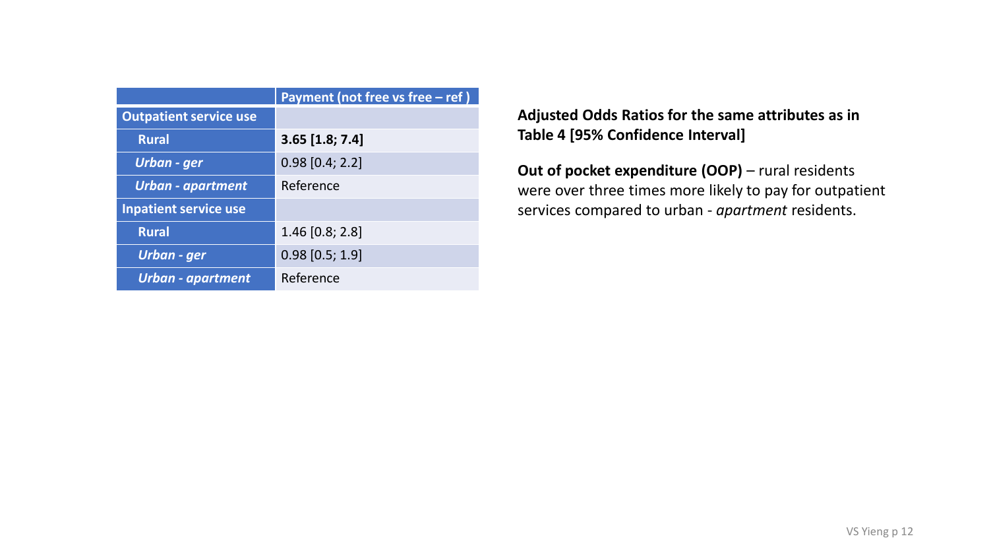|                               | Payment (not free vs free $-$ ref) |
|-------------------------------|------------------------------------|
| <b>Outpatient service use</b> |                                    |
| <b>Rural</b>                  | $3.65$ [1.8; 7.4]                  |
| Urban - ger                   | $0.98$ [0.4; 2.2]                  |
| <b>Urban - apartment</b>      | Reference                          |
| <b>Inpatient service use</b>  |                                    |
| <b>Rural</b>                  | $1.46$ [0.8; 2.8]                  |
| Urban - ger                   | $0.98$ [0.5; 1.9]                  |
| <b>Urban - apartment</b>      | Reference                          |

**Adjusted Odds Ratios for the same attributes as in Table 4 [95% Confidence Interval]**

**Out of pocket expenditure (OOP)** – rural residents were over three times more likely to pay for outpatient services compared to urban - *apartment* residents.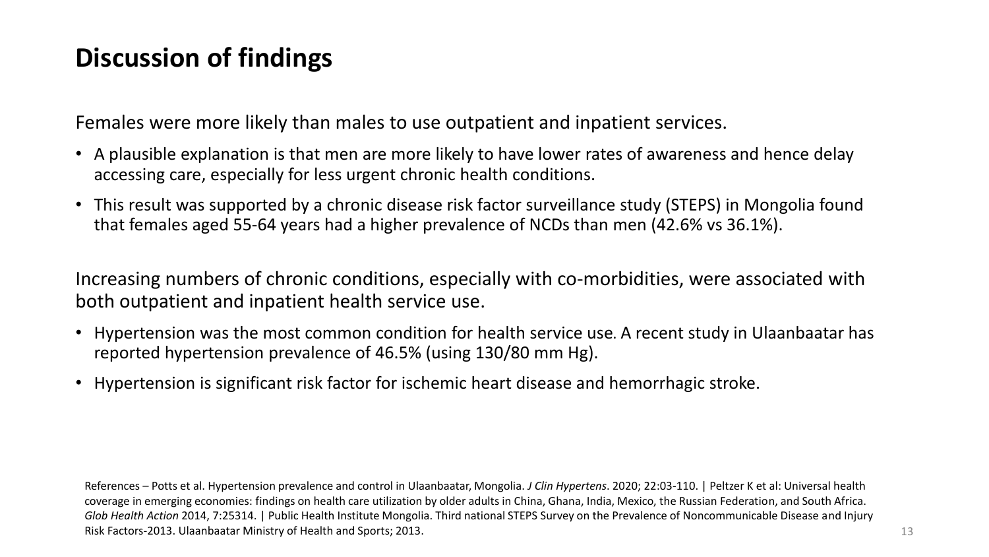### **Discussion of findings**

Females were more likely than males to use outpatient and inpatient services.

- A plausible explanation is that men are more likely to have lower rates of awareness and hence delay accessing care, especially for less urgent chronic health conditions.
- This result was supported by a chronic disease risk factor surveillance study (STEPS) in Mongolia found that females aged 55-64 years had a higher prevalence of NCDs than men (42.6% vs 36.1%).

Increasing numbers of chronic conditions, especially with co-morbidities, were associated with both outpatient and inpatient health service use.

- Hypertension was the most common condition for health service use. A recent study in Ulaanbaatar has reported hypertension prevalence of 46.5% (using 130/80 mm Hg).
- Hypertension is significant risk factor for ischemic heart disease and hemorrhagic stroke.

References – Potts et al. Hypertension prevalence and control in Ulaanbaatar, Mongolia. *J Clin Hypertens*. 2020; 22:03-110. | Peltzer K et al: Universal health coverage in emerging economies: findings on health care utilization by older adults in China, Ghana, India, Mexico, the Russian Federation, and South Africa. *Glob Health Action* 2014, 7:25314. | Public Health Institute Mongolia. Third national STEPS Survey on the Prevalence of Noncommunicable Disease and Injury Risk Factors-2013. Ulaanbaatar Ministry of Health and Sports; 2013.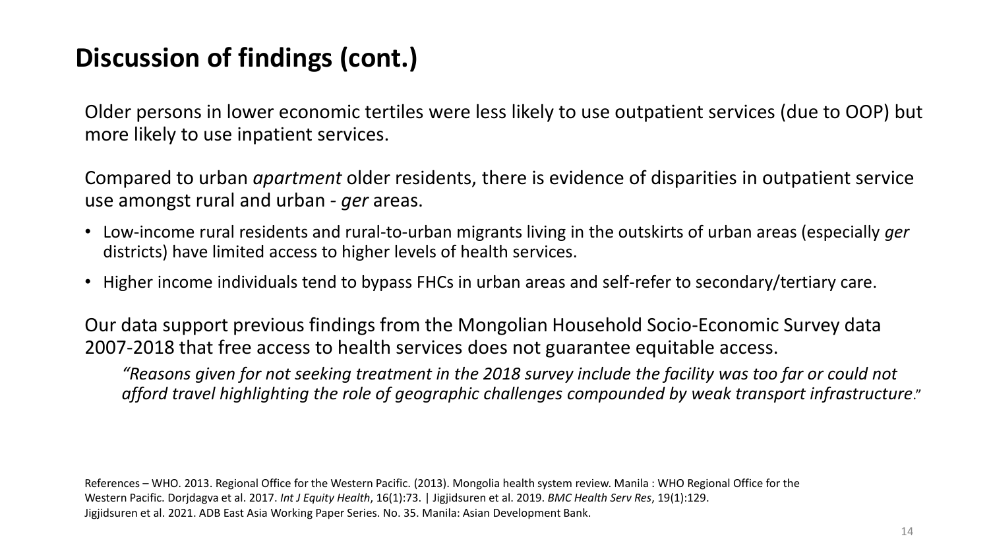# **Discussion of findings (cont.)**

Older persons in lower economic tertiles were less likely to use outpatient services (due to OOP) but more likely to use inpatient services.

Compared to urban *apartment* older residents, there is evidence of disparities in outpatient service use amongst rural and urban *- ger* areas.

- Low-income rural residents and rural-to-urban migrants living in the outskirts of urban areas (especially *ger*  districts) have limited access to higher levels of health services.
- Higher income individuals tend to bypass FHCs in urban areas and self-refer to secondary/tertiary care.

Our data support previous findings from the Mongolian Household Socio-Economic Survey data 2007-2018 that free access to health services does not guarantee equitable access.

*"Reasons given for not seeking treatment in the 2018 survey include the facility was too far or could not afford travel highlighting the role of geographic challenges compounded by weak transport infrastructure*."

References – WHO. 2013. Regional Office for the Western Pacific. (2013). Mongolia health system review. Manila : WHO Regional Office for the Western Pacific. Dorjdagva et al. 2017. *Int J Equity Health*, 16(1):73. | Jigjidsuren et al. 2019. *BMC Health Serv Res*, 19(1):129. Jigjidsuren et al. 2021. ADB East Asia Working Paper Series. No. 35. Manila: Asian Development Bank.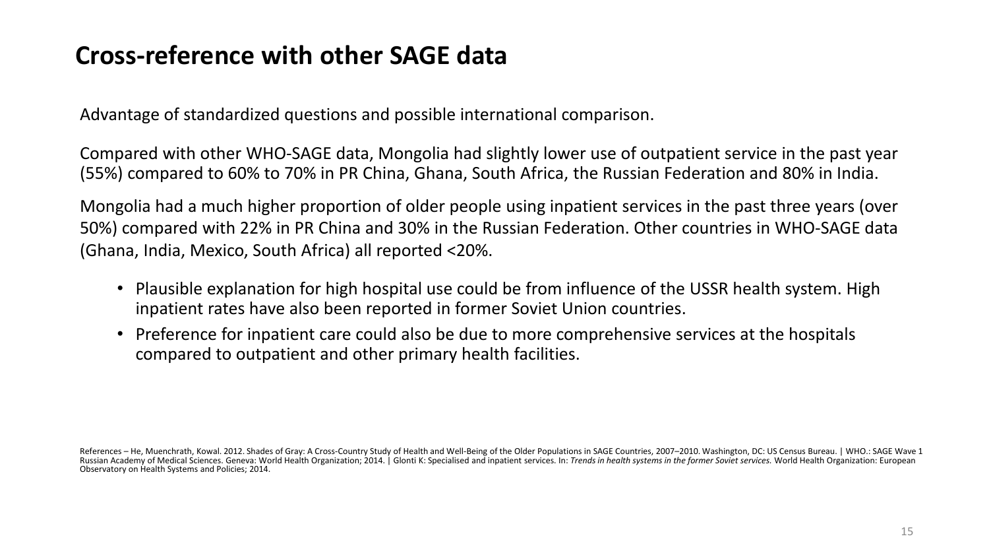### **Cross-reference with other SAGE data**

Advantage of standardized questions and possible international comparison.

Compared with other WHO-SAGE data, Mongolia had slightly lower use of outpatient service in the past year (55%) compared to 60% to 70% in PR China, Ghana, South Africa, the Russian Federation and 80% in India.

Mongolia had a much higher proportion of older people using inpatient services in the past three years (over 50%) compared with 22% in PR China and 30% in the Russian Federation. Other countries in WHO-SAGE data (Ghana, India, Mexico, South Africa) all reported <20%.

- Plausible explanation for high hospital use could be from influence of the USSR health system. High inpatient rates have also been reported in former Soviet Union countries.
- Preference for inpatient care could also be due to more comprehensive services at the hospitals compared to outpatient and other primary health facilities.

References – He, Muenchrath, Kowal. 2012. Shades of Gray: A Cross-Country Study of Health and Well-Being of the Older Populations in SAGE Countries, 2007–2010. Washington, DC: US Census Bureau. | WHO.: SAGE Wave 1 Russian Academy of Medical Sciences. Geneva: World Health Organization; 2014. | Glonti K: Specialised and inpatient services. In: Trends in health systems in the former Soviet services. World Health Organization: European Observatory on Health Systems and Policies; 2014.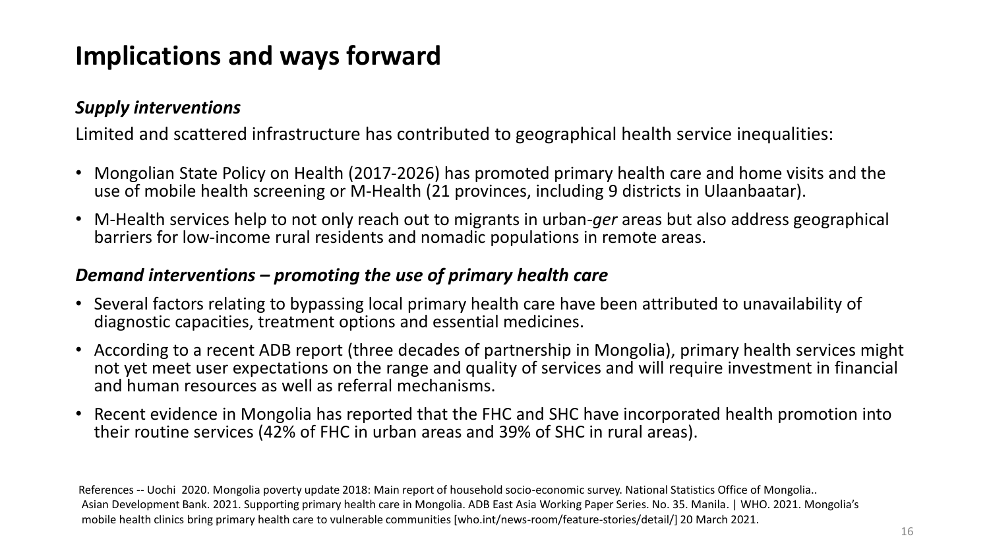# **Implications and ways forward**

### *Supply interventions*

Limited and scattered infrastructure has contributed to geographical health service inequalities:

- Mongolian State Policy on Health (2017-2026) has promoted primary health care and home visits and the use of mobile health screening or M-Health (21 provinces, including 9 districts in Ulaanbaatar).
- M-Health services help to not only reach out to migrants in urban-*ger* areas but also address geographical barriers for low-income rural residents and nomadic populations in remote areas.

#### *Demand interventions – promoting the use of primary health care*

- Several factors relating to bypassing local primary health care have been attributed to unavailability of diagnostic capacities, treatment options and essential medicines.
- According to a recent ADB report (three decades of partnership in Mongolia), primary health services might not yet meet user expectations on the range and quality of services and will require investment in financial and human resources as well as referral mechanisms.
- Recent evidence in Mongolia has reported that the FHC and SHC have incorporated health promotion into their routine services (42% of FHC in urban areas and 39% of SHC in rural areas).

References -- Uochi 2020. Mongolia poverty update 2018: Main report of household socio-economic survey. National Statistics Office of Mongolia.. Asian Development Bank. 2021. Supporting primary health care in Mongolia. ADB East Asia Working Paper Series. No. 35. Manila. | WHO. 2021. Mongolia's mobile health clinics bring primary health care to vulnerable communities [who.int/news-room/feature-stories/detail/] 20 March 2021.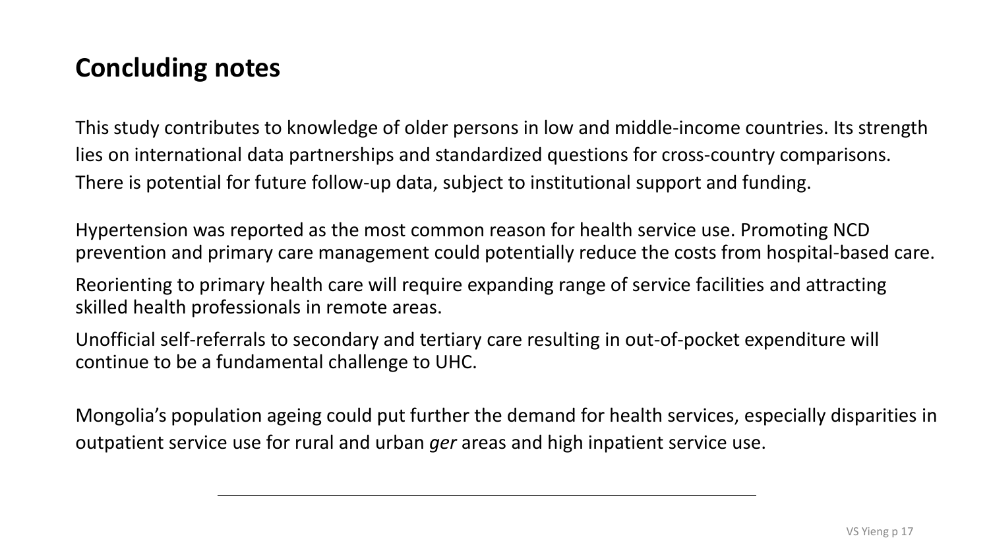### **Concluding notes**

This study contributes to knowledge of older persons in low and middle-income countries. Its strength lies on international data partnerships and standardized questions for cross-country comparisons. There is potential for future follow-up data, subject to institutional support and funding.

Hypertension was reported as the most common reason for health service use. Promoting NCD prevention and primary care management could potentially reduce the costs from hospital-based care.

Reorienting to primary health care will require expanding range of service facilities and attracting skilled health professionals in remote areas.

Unofficial self-referrals to secondary and tertiary care resulting in out-of-pocket expenditure will continue to be a fundamental challenge to UHC.

Mongolia's population ageing could put further the demand for health services, especially disparities in outpatient service use for rural and urban *ger* areas and high inpatient service use.